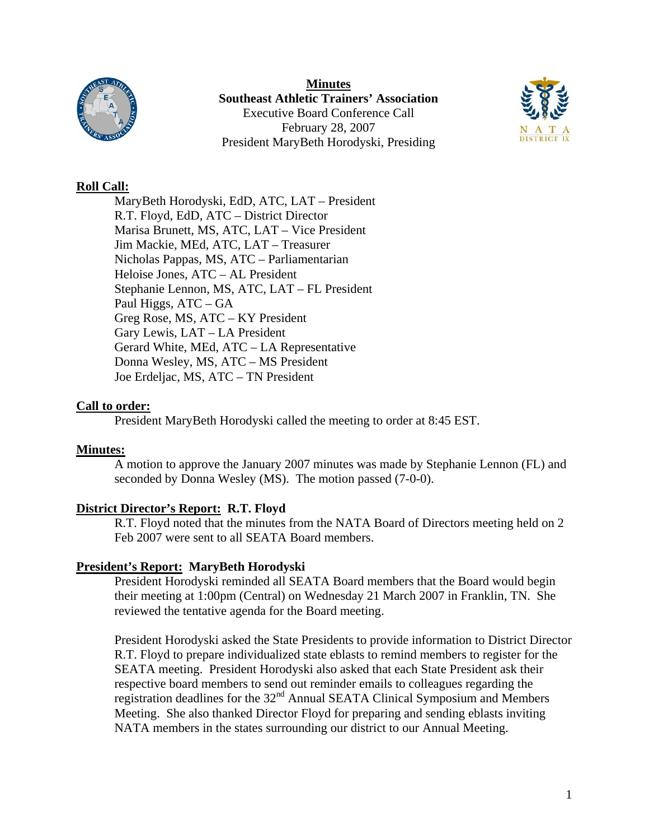

**Minutes Southeast Athletic Trainers' Association**  Executive Board Conference Call February 28, 2007 President MaryBeth Horodyski, Presiding



## **Roll Call:**

 MaryBeth Horodyski, EdD, ATC, LAT – President R.T. Floyd, EdD, ATC – District Director Marisa Brunett, MS, ATC, LAT – Vice President Jim Mackie, MEd, ATC, LAT – Treasurer Nicholas Pappas, MS, ATC – Parliamentarian Heloise Jones, ATC – AL President Stephanie Lennon, MS, ATC, LAT – FL President Paul Higgs, ATC – GA Greg Rose, MS, ATC – KY President Gary Lewis, LAT – LA President Gerard White, MEd, ATC – LA Representative Donna Wesley, MS, ATC – MS President Joe Erdeljac, MS, ATC – TN President

## **Call to order:**

President MaryBeth Horodyski called the meeting to order at 8:45 EST.

## **Minutes:**

A motion to approve the January 2007 minutes was made by Stephanie Lennon (FL) and seconded by Donna Wesley (MS). The motion passed (7-0-0).

# **District Director's Report: R.T. Floyd**

R.T. Floyd noted that the minutes from the NATA Board of Directors meeting held on 2 Feb 2007 were sent to all SEATA Board members.

## **President's Report: MaryBeth Horodyski**

President Horodyski reminded all SEATA Board members that the Board would begin their meeting at 1:00pm (Central) on Wednesday 21 March 2007 in Franklin, TN. She reviewed the tentative agenda for the Board meeting.

President Horodyski asked the State Presidents to provide information to District Director R.T. Floyd to prepare individualized state eblasts to remind members to register for the SEATA meeting. President Horodyski also asked that each State President ask their respective board members to send out reminder emails to colleagues regarding the registration deadlines for the 32<sup>nd</sup> Annual SEATA Clinical Symposium and Members Meeting. She also thanked Director Floyd for preparing and sending eblasts inviting NATA members in the states surrounding our district to our Annual Meeting.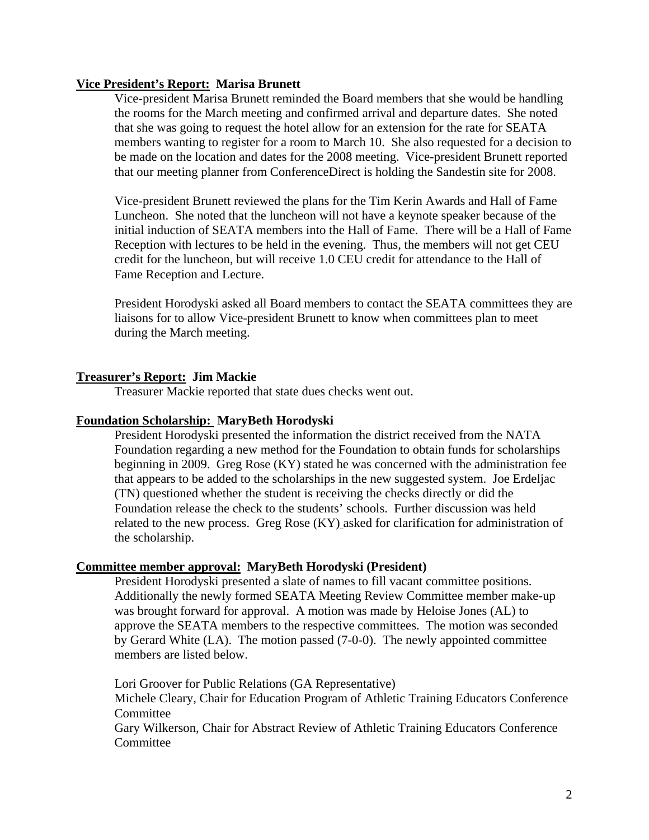### **Vice President's Report: Marisa Brunett**

Vice-president Marisa Brunett reminded the Board members that she would be handling the rooms for the March meeting and confirmed arrival and departure dates. She noted that she was going to request the hotel allow for an extension for the rate for SEATA members wanting to register for a room to March 10. She also requested for a decision to be made on the location and dates for the 2008 meeting. Vice-president Brunett reported that our meeting planner from ConferenceDirect is holding the Sandestin site for 2008.

Vice-president Brunett reviewed the plans for the Tim Kerin Awards and Hall of Fame Luncheon. She noted that the luncheon will not have a keynote speaker because of the initial induction of SEATA members into the Hall of Fame. There will be a Hall of Fame Reception with lectures to be held in the evening. Thus, the members will not get CEU credit for the luncheon, but will receive 1.0 CEU credit for attendance to the Hall of Fame Reception and Lecture.

President Horodyski asked all Board members to contact the SEATA committees they are liaisons for to allow Vice-president Brunett to know when committees plan to meet during the March meeting.

### **Treasurer's Report: Jim Mackie**

Treasurer Mackie reported that state dues checks went out.

#### **Foundation Scholarship: MaryBeth Horodyski**

President Horodyski presented the information the district received from the NATA Foundation regarding a new method for the Foundation to obtain funds for scholarships beginning in 2009. Greg Rose (KY) stated he was concerned with the administration fee that appears to be added to the scholarships in the new suggested system. Joe Erdeljac (TN) questioned whether the student is receiving the checks directly or did the Foundation release the check to the students' schools. Further discussion was held related to the new process. Greg Rose (KY) asked for clarification for administration of the scholarship.

#### **Committee member approval: MaryBeth Horodyski (President)**

President Horodyski presented a slate of names to fill vacant committee positions. Additionally the newly formed SEATA Meeting Review Committee member make-up was brought forward for approval. A motion was made by Heloise Jones (AL) to approve the SEATA members to the respective committees. The motion was seconded by Gerard White (LA). The motion passed (7-0-0). The newly appointed committee members are listed below.

Lori Groover for Public Relations (GA Representative) Michele Cleary, Chair for Education Program of Athletic Training Educators Conference **Committee** 

Gary Wilkerson, Chair for Abstract Review of Athletic Training Educators Conference Committee